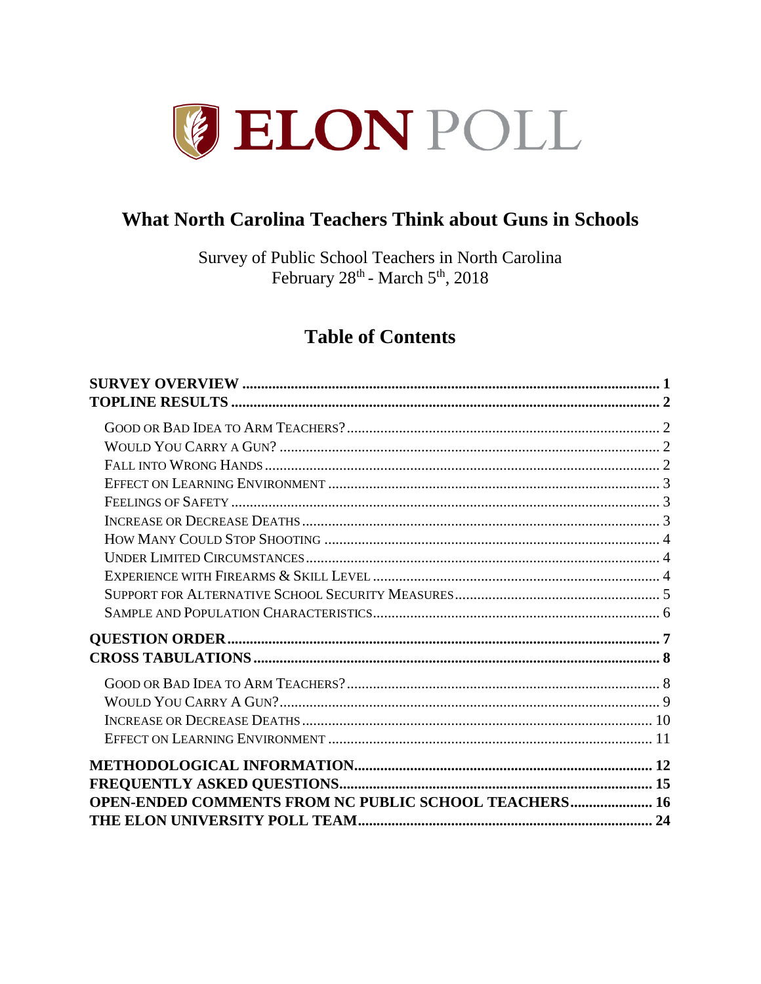

# **What North Carolina Teachers Think about Guns in Schools**

Survey of Public School Teachers in North Carolina February 28<sup>th</sup> - March 5<sup>th</sup>, 2018

# **Table of Contents**

| <b>OPEN-ENDED COMMENTS FROM NC PUBLIC SCHOOL TEACHERS 16</b> |  |
|--------------------------------------------------------------|--|
|                                                              |  |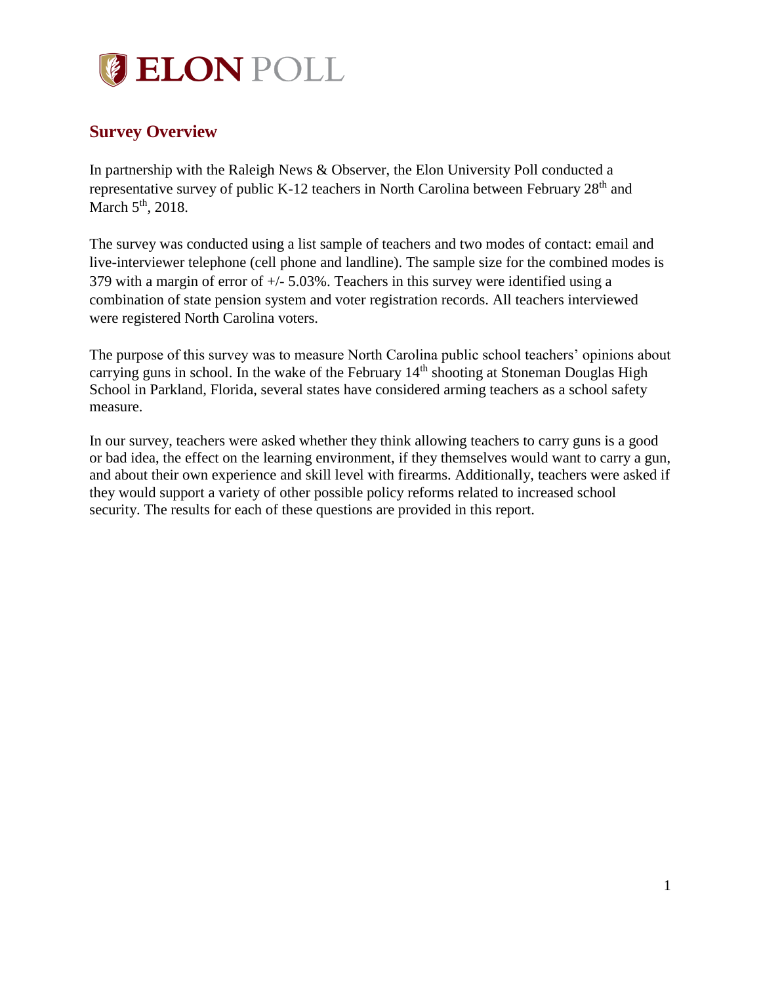

# <span id="page-1-0"></span>**Survey Overview**

In partnership with the Raleigh News & Observer, the Elon University Poll conducted a representative survey of public K-12 teachers in North Carolina between February 28<sup>th</sup> and March 5<sup>th</sup>, 2018.

The survey was conducted using a list sample of teachers and two modes of contact: email and live-interviewer telephone (cell phone and landline). The sample size for the combined modes is 379 with a margin of error of  $+/-$  5.03%. Teachers in this survey were identified using a combination of state pension system and voter registration records. All teachers interviewed were registered North Carolina voters.

The purpose of this survey was to measure North Carolina public school teachers' opinions about carrying guns in school. In the wake of the February  $14<sup>th</sup>$  shooting at Stoneman Douglas High School in Parkland, Florida, several states have considered arming teachers as a school safety measure.

In our survey, teachers were asked whether they think allowing teachers to carry guns is a good or bad idea, the effect on the learning environment, if they themselves would want to carry a gun, and about their own experience and skill level with firearms. Additionally, teachers were asked if they would support a variety of other possible policy reforms related to increased school security. The results for each of these questions are provided in this report.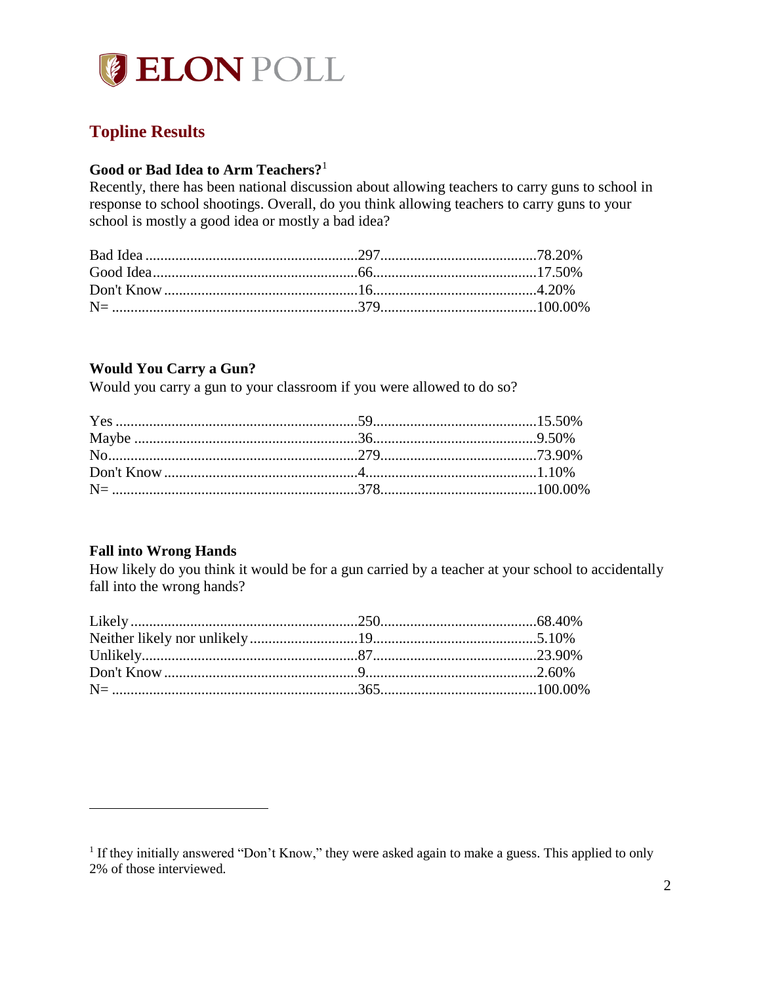

# <span id="page-2-0"></span>**Topline Results**

## <span id="page-2-1"></span>**Good or Bad Idea to Arm Teachers?**<sup>1</sup>

Recently, there has been national discussion about allowing teachers to carry guns to school in response to school shootings. Overall, do you think allowing teachers to carry guns to your school is mostly a good idea or mostly a bad idea?

## <span id="page-2-2"></span>**Would You Carry a Gun?**

Would you carry a gun to your classroom if you were allowed to do so?

## <span id="page-2-3"></span>**Fall into Wrong Hands**

 $\overline{a}$ 

How likely do you think it would be for a gun carried by a teacher at your school to accidentally fall into the wrong hands?

<sup>&</sup>lt;sup>1</sup> If they initially answered "Don't Know," they were asked again to make a guess. This applied to only 2% of those interviewed.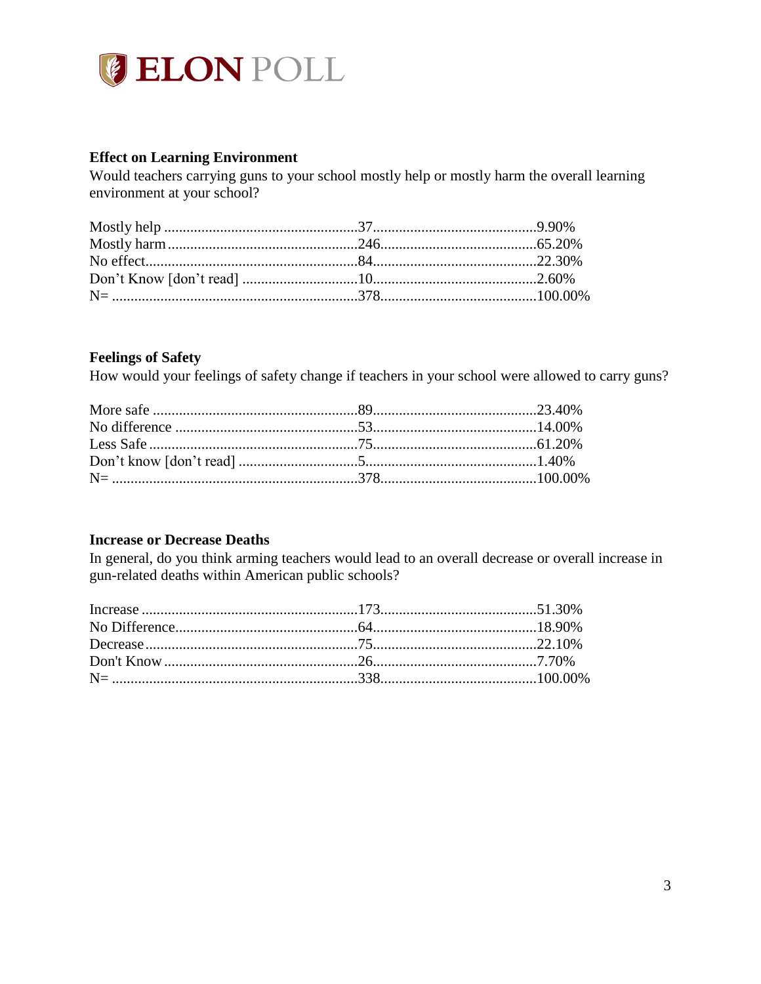

## <span id="page-3-0"></span>**Effect on Learning Environment**

Would teachers carrying guns to your school mostly help or mostly harm the overall learning environment at your school?

#### <span id="page-3-1"></span>**Feelings of Safety**

How would your feelings of safety change if teachers in your school were allowed to carry guns?

#### <span id="page-3-2"></span>**Increase or Decrease Deaths**

In general, do you think arming teachers would lead to an overall decrease or overall increase in gun-related deaths within American public schools?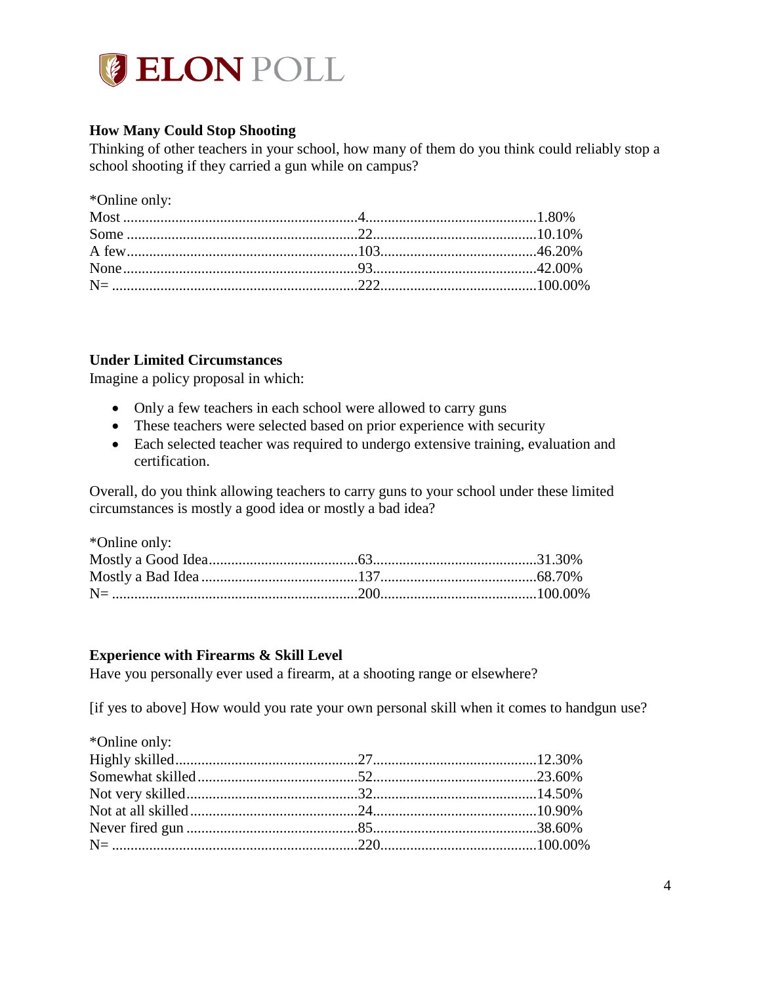

## <span id="page-4-0"></span>**How Many Could Stop Shooting**

Thinking of other teachers in your school, how many of them do you think could reliably stop a school shooting if they carried a gun while on campus?

\*Online only:

## <span id="page-4-1"></span>**Under Limited Circumstances**

Imagine a policy proposal in which:

- Only a few teachers in each school were allowed to carry guns
- These teachers were selected based on prior experience with security
- Each selected teacher was required to undergo extensive training, evaluation and certification.

Overall, do you think allowing teachers to carry guns to your school under these limited circumstances is mostly a good idea or mostly a bad idea?

| *Online only: |  |
|---------------|--|
|               |  |
|               |  |
|               |  |

## <span id="page-4-2"></span>**Experience with Firearms & Skill Level**

Have you personally ever used a firearm, at a shooting range or elsewhere?

[if yes to above] How would you rate your own personal skill when it comes to handgun use?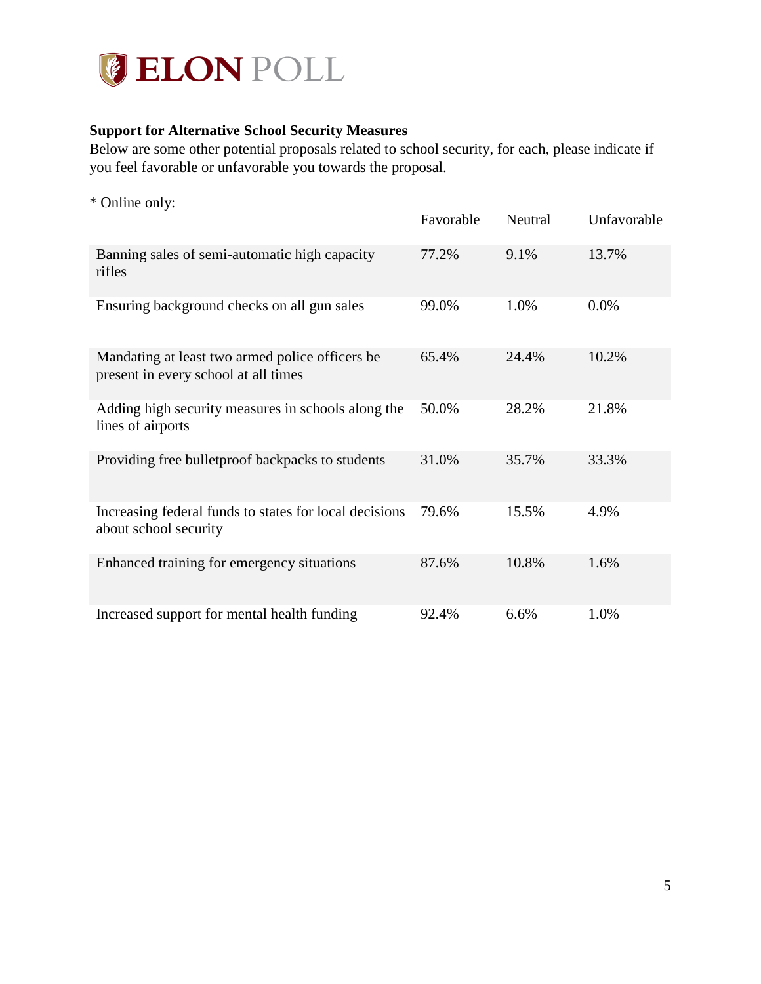

## <span id="page-5-0"></span>**Support for Alternative School Security Measures**

Below are some other potential proposals related to school security, for each, please indicate if you feel favorable or unfavorable you towards the proposal.

\* Online only:

|                                                                                         | Favorable | Neutral | Unfavorable |
|-----------------------------------------------------------------------------------------|-----------|---------|-------------|
| Banning sales of semi-automatic high capacity<br>rifles                                 | 77.2%     | 9.1%    | 13.7%       |
| Ensuring background checks on all gun sales                                             | 99.0%     | 1.0%    | 0.0%        |
| Mandating at least two armed police officers be<br>present in every school at all times | 65.4%     | 24.4%   | 10.2%       |
| Adding high security measures in schools along the<br>lines of airports                 | 50.0%     | 28.2%   | 21.8%       |
| Providing free bulletproof backpacks to students                                        | 31.0%     | 35.7%   | 33.3%       |
| Increasing federal funds to states for local decisions<br>about school security         | 79.6%     | 15.5%   | 4.9%        |
| Enhanced training for emergency situations                                              | 87.6%     | 10.8%   | 1.6%        |
| Increased support for mental health funding                                             | 92.4%     | 6.6%    | 1.0%        |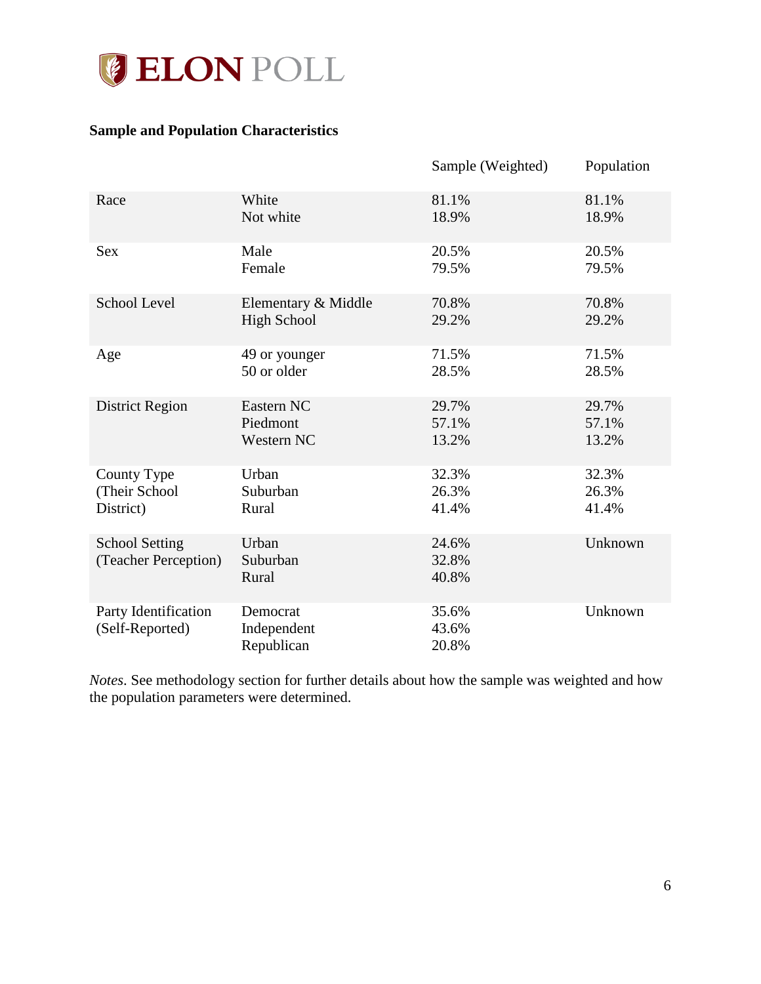

## <span id="page-6-0"></span>**Sample and Population Characteristics**

|                                               |                                       | Sample (Weighted)       | Population |
|-----------------------------------------------|---------------------------------------|-------------------------|------------|
| Race                                          | White                                 | 81.1%                   | 81.1%      |
|                                               | Not white                             | 18.9%                   | 18.9%      |
| <b>Sex</b>                                    | Male                                  | 20.5%                   | 20.5%      |
|                                               | Female                                | 79.5%                   | 79.5%      |
| <b>School Level</b>                           | Elementary & Middle                   | 70.8%                   | 70.8%      |
|                                               | <b>High School</b>                    | 29.2%                   | 29.2%      |
| Age                                           | 49 or younger                         | 71.5%                   | 71.5%      |
|                                               | 50 or older                           | 28.5%                   | 28.5%      |
| District Region                               | Eastern NC                            | 29.7%                   | 29.7%      |
|                                               | Piedmont                              | 57.1%                   | 57.1%      |
|                                               | Western NC                            | 13.2%                   | 13.2%      |
| County Type                                   | Urban                                 | 32.3%                   | 32.3%      |
| (Their School                                 | Suburban                              | 26.3%                   | 26.3%      |
| District)                                     | Rural                                 | 41.4%                   | 41.4%      |
| <b>School Setting</b><br>(Teacher Perception) | Urban<br>Suburban<br>Rural            | 24.6%<br>32.8%<br>40.8% | Unknown    |
| Party Identification<br>(Self-Reported)       | Democrat<br>Independent<br>Republican | 35.6%<br>43.6%<br>20.8% | Unknown    |

*Notes*. See methodology section for further details about how the sample was weighted and how the population parameters were determined.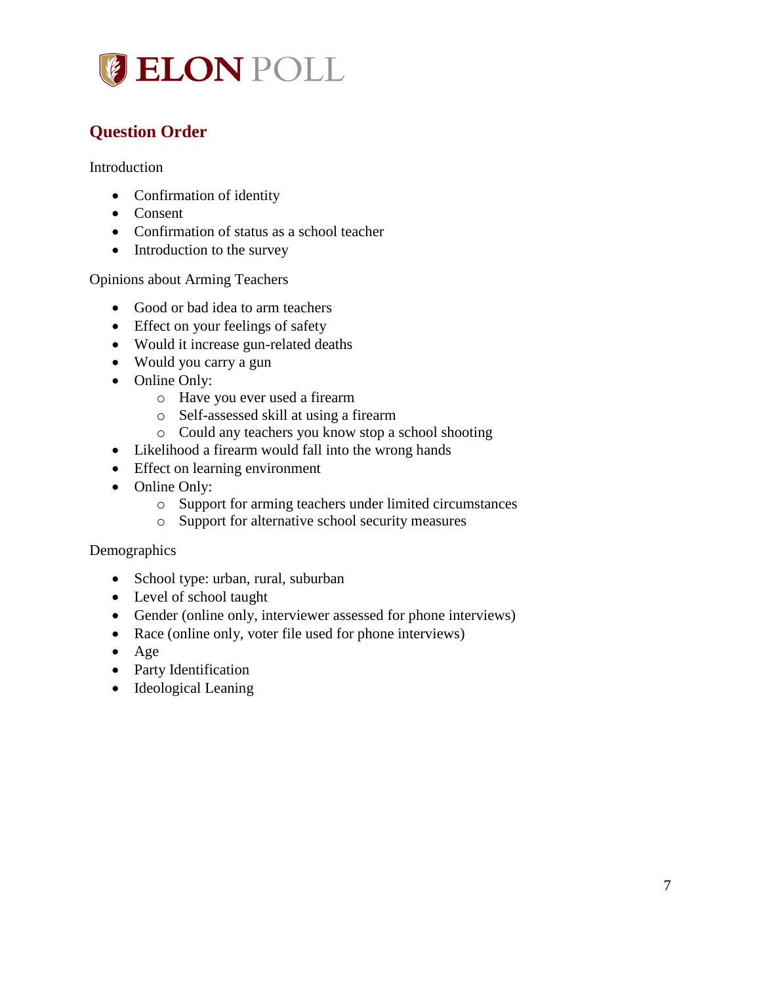

# <span id="page-7-0"></span>**Question Order**

Introduction

- Confirmation of identity
- Consent
- Confirmation of status as a school teacher
- Introduction to the survey

## Opinions about Arming Teachers

- Good or bad idea to arm teachers
- Effect on your feelings of safety
- Would it increase gun-related deaths
- Would you carry a gun
- Online Only:
	- o Have you ever used a firearm
	- o Self-assessed skill at using a firearm
	- o Could any teachers you know stop a school shooting
- Likelihood a firearm would fall into the wrong hands
- Effect on learning environment
- Online Only:
	- o Support for arming teachers under limited circumstances
	- o Support for alternative school security measures

## **Demographics**

- School type: urban, rural, suburban
- Level of school taught
- Gender (online only, interviewer assessed for phone interviews)
- Race (online only, voter file used for phone interviews)
- Age
- Party Identification
- Ideological Leaning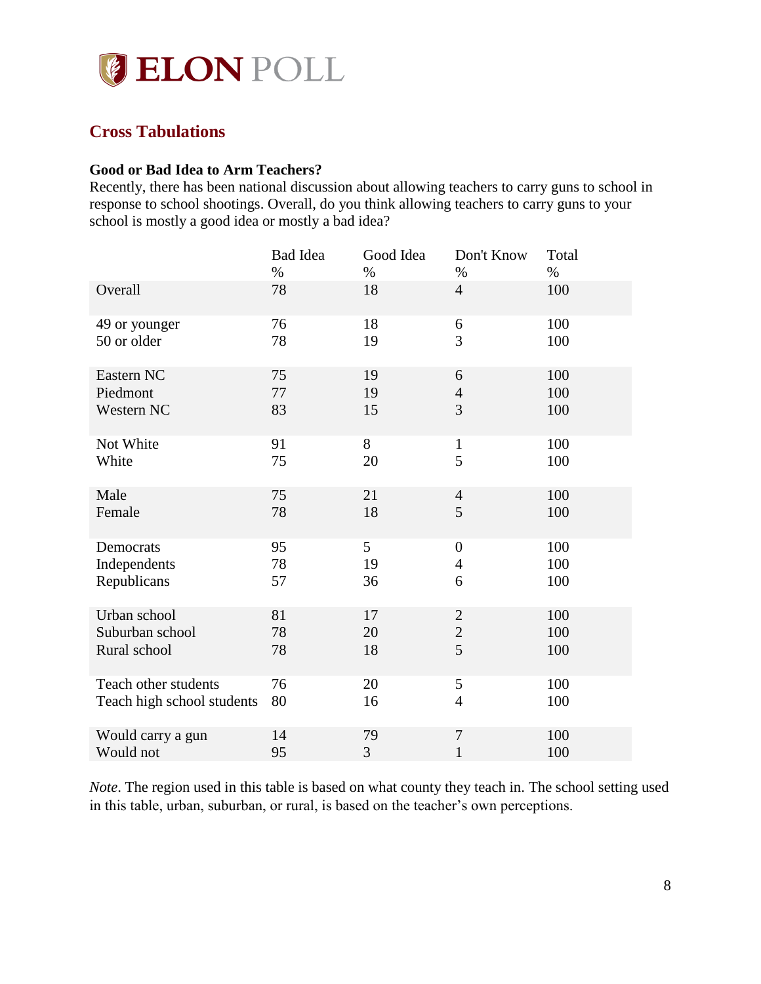

## <span id="page-8-0"></span>**Cross Tabulations**

#### <span id="page-8-1"></span>**Good or Bad Idea to Arm Teachers?**

Recently, there has been national discussion about allowing teachers to carry guns to school in response to school shootings. Overall, do you think allowing teachers to carry guns to your school is mostly a good idea or mostly a bad idea?

|                            | <b>Bad Idea</b><br>$\%$ | Good Idea<br>$\%$ | Don't Know<br>$\%$ | Total<br>$\%$ |
|----------------------------|-------------------------|-------------------|--------------------|---------------|
| Overall                    | 78                      | 18                | $\overline{4}$     | 100           |
| 49 or younger              | 76                      | 18                | 6                  | 100           |
| 50 or older                | 78                      | 19                | 3                  | 100           |
| Eastern NC                 | 75                      | 19                | 6                  | 100           |
| Piedmont                   | 77                      | 19                | $\overline{4}$     | 100           |
| Western NC                 | 83                      | 15                | 3                  | 100           |
| Not White                  | 91                      | 8                 | $\mathbf{1}$       | 100           |
| White                      | 75                      | 20                | 5                  | 100           |
| Male                       | 75                      | 21                | $\overline{4}$     | 100           |
| Female                     | 78                      | 18                | 5                  | 100           |
| Democrats                  | 95                      | 5                 | $\boldsymbol{0}$   | 100           |
| Independents               | 78                      | 19                | $\overline{4}$     | 100           |
| Republicans                | 57                      | 36                | 6                  | 100           |
| Urban school               | 81                      | 17                | $\sqrt{2}$         | 100           |
| Suburban school            | 78                      | 20                | $\overline{c}$     | 100           |
| Rural school               | 78                      | 18                | 5                  | 100           |
| Teach other students       | 76                      | 20                | 5                  | 100           |
| Teach high school students | 80                      | 16                | $\overline{4}$     | 100           |
| Would carry a gun          | 14                      | 79                | $\boldsymbol{7}$   | 100           |
| Would not                  | 95                      | 3                 | $\mathbf{1}$       | 100           |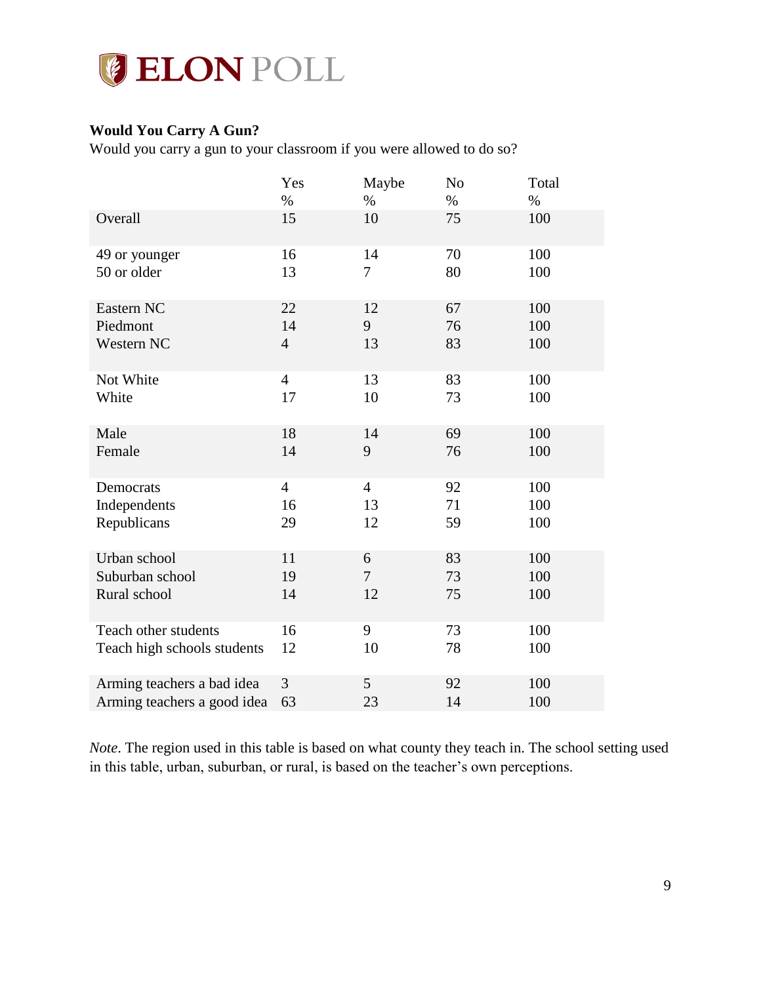

## <span id="page-9-0"></span>**Would You Carry A Gun?**

Would you carry a gun to your classroom if you were allowed to do so?

|                             | Yes            | Maybe          | N <sub>o</sub> | Total |
|-----------------------------|----------------|----------------|----------------|-------|
|                             | $\%$           | $\%$           | $\%$           | $\%$  |
| Overall                     | 15             | 10             | 75             | 100   |
| 49 or younger               | 16             | 14             | 70             | 100   |
| 50 or older                 | 13             | 7              | 80             | 100   |
| Eastern NC                  | 22             | 12             | 67             | 100   |
| Piedmont                    | 14             | 9              | 76             | 100   |
| Western NC                  | $\overline{4}$ | 13             | 83             | 100   |
| Not White                   | $\overline{4}$ | 13             | 83             | 100   |
| White                       | 17             | 10             | 73             | 100   |
| Male                        | 18             | 14             | 69             | 100   |
| Female                      | 14             | 9              | 76             | 100   |
| Democrats                   | $\overline{4}$ | $\overline{4}$ | 92             | 100   |
| Independents                | 16             | 13             | 71             | 100   |
| Republicans                 | 29             | 12             | 59             | 100   |
| Urban school                | 11             | 6              | 83             | 100   |
| Suburban school             | 19             | 7              | 73             | 100   |
| Rural school                | 14             | 12             | 75             | 100   |
| Teach other students        | 16             | 9              | 73             | 100   |
| Teach high schools students | 12             | 10             | 78             | 100   |
| Arming teachers a bad idea  | 3              | 5              | 92             | 100   |
| Arming teachers a good idea | 63             | 23             | 14             | 100   |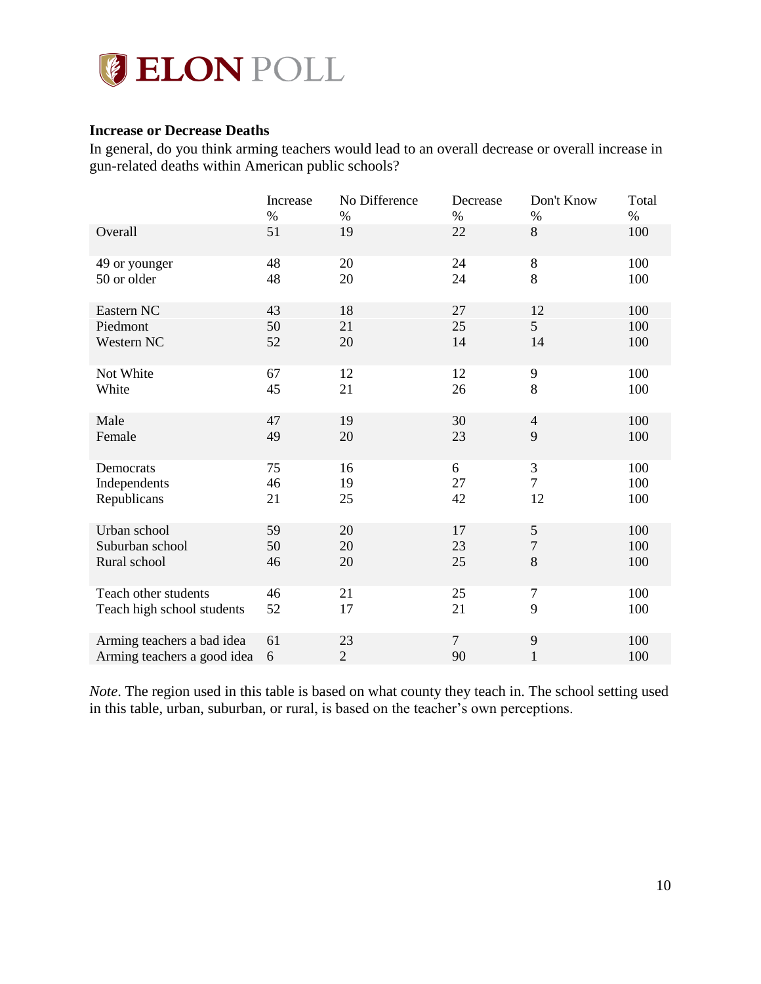

## <span id="page-10-0"></span>**Increase or Decrease Deaths**

In general, do you think arming teachers would lead to an overall decrease or overall increase in gun-related deaths within American public schools?

|                             | Increase | No Difference  | Decrease       | Don't Know       | Total |
|-----------------------------|----------|----------------|----------------|------------------|-------|
|                             | $\%$     | $\%$           | $\%$           | $\%$             | $\%$  |
| Overall                     | 51       | 19             | 22             | 8                | 100   |
| 49 or younger               | 48       | 20             | 24             | $8\,$            | 100   |
| 50 or older                 | 48       | 20             | 24             | $\,8\,$          | 100   |
| Eastern NC                  | 43       | 18             | 27             | 12               | 100   |
| Piedmont                    | 50       | 21             | 25             | 5 <sup>5</sup>   | 100   |
| Western NC                  | 52       | 20             | 14             | 14               | 100   |
| Not White                   | 67       | 12             | 12             | 9                | 100   |
| White                       | 45       | 21             | 26             | 8                | 100   |
| Male                        | 47       | 19             | 30             | $\overline{4}$   | 100   |
| Female                      | 49       | 20             | 23             | 9                | 100   |
| Democrats                   | 75       | 16             | 6              | 3                | 100   |
| Independents                | 46       | 19             | 27             | $\overline{7}$   | 100   |
| Republicans                 | 21       | 25             | 42             | 12               | 100   |
| Urban school                | 59       | 20             | 17             | 5                | 100   |
| Suburban school             | 50       | 20             | 23             | $\boldsymbol{7}$ | 100   |
| Rural school                | 46       | 20             | 25             | 8                | 100   |
| Teach other students        | 46       | 21             | 25             | $\tau$           | 100   |
| Teach high school students  | 52       | 17             | 21             | 9                | 100   |
| Arming teachers a bad idea  | 61       | 23             | $\overline{7}$ | 9                | 100   |
| Arming teachers a good idea | 6        | $\overline{2}$ | 90             | $\mathbf{1}$     | 100   |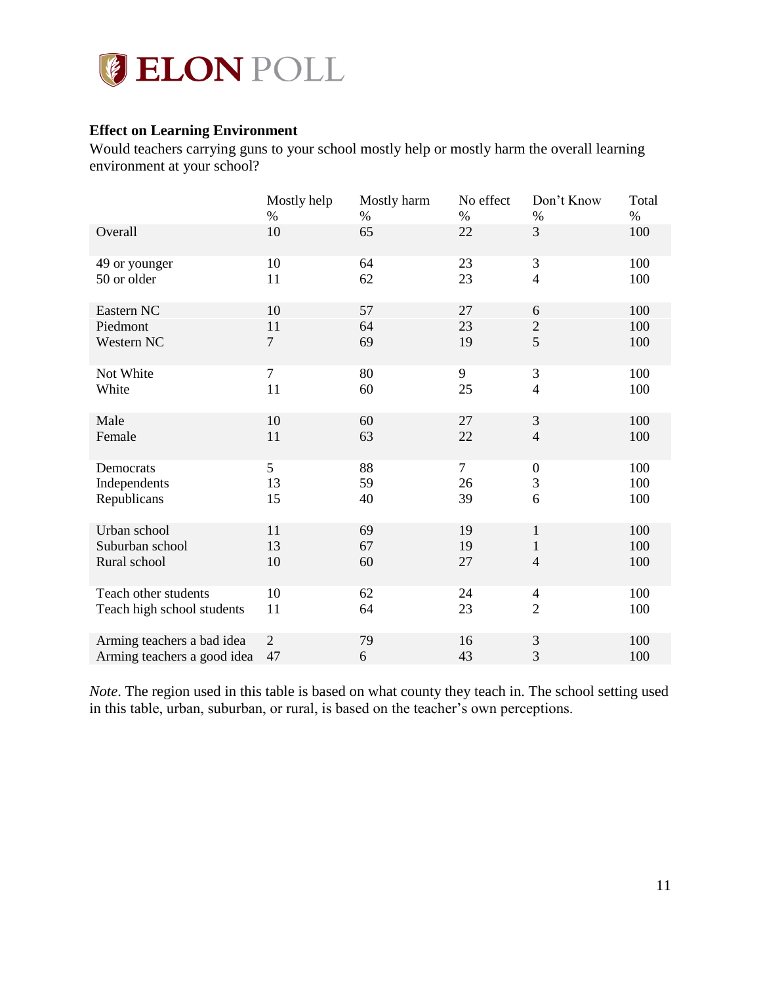

## <span id="page-11-0"></span>**Effect on Learning Environment**

Would teachers carrying guns to your school mostly help or mostly harm the overall learning environment at your school?

|                             | Mostly help    | Mostly harm | No effect      | Don't Know                  | Total |
|-----------------------------|----------------|-------------|----------------|-----------------------------|-------|
|                             | $\%$           | $\%$        | $\%$           | $\%$                        | $\%$  |
| Overall                     | 10             | 65          | 22             | 3                           | 100   |
| 49 or younger               | 10             | 64          | 23             | $\ensuremath{\mathfrak{Z}}$ | 100   |
| 50 or older                 | 11             | 62          | 23             | $\overline{4}$              | 100   |
| Eastern NC                  | 10             | 57          | 27             | 6                           | 100   |
| Piedmont                    | 11             | 64          | 23             | $\overline{c}$              | 100   |
| Western NC                  | $\overline{7}$ | 69          | 19             | 5                           | 100   |
| Not White                   | $\overline{7}$ | 80          | 9              | $\mathfrak{Z}$              | 100   |
| White                       | 11             | 60          | 25             | $\overline{4}$              | 100   |
| Male                        | 10             | 60          | 27             | $\mathfrak{Z}$              | 100   |
| Female                      | 11             | 63          | 22             | $\overline{4}$              | 100   |
| Democrats                   | 5              | 88          | $\overline{7}$ | $\boldsymbol{0}$            | 100   |
| Independents                | 13             | 59          | 26             | $\mathfrak{Z}$              | 100   |
| Republicans                 | 15             | 40          | 39             | 6                           | 100   |
| Urban school                | 11             | 69          | 19             | $\mathbf{1}$                | 100   |
| Suburban school             | 13             | 67          | 19             | 1                           | 100   |
| Rural school                | 10             | 60          | 27             | $\overline{4}$              | 100   |
| Teach other students        | 10             | 62          | 24             | $\overline{4}$              | 100   |
| Teach high school students  | 11             | 64          | 23             | $\overline{2}$              | 100   |
| Arming teachers a bad idea  | $\overline{2}$ | 79          | 16             | 3                           | 100   |
| Arming teachers a good idea | 47             | 6           | 43             | 3                           | 100   |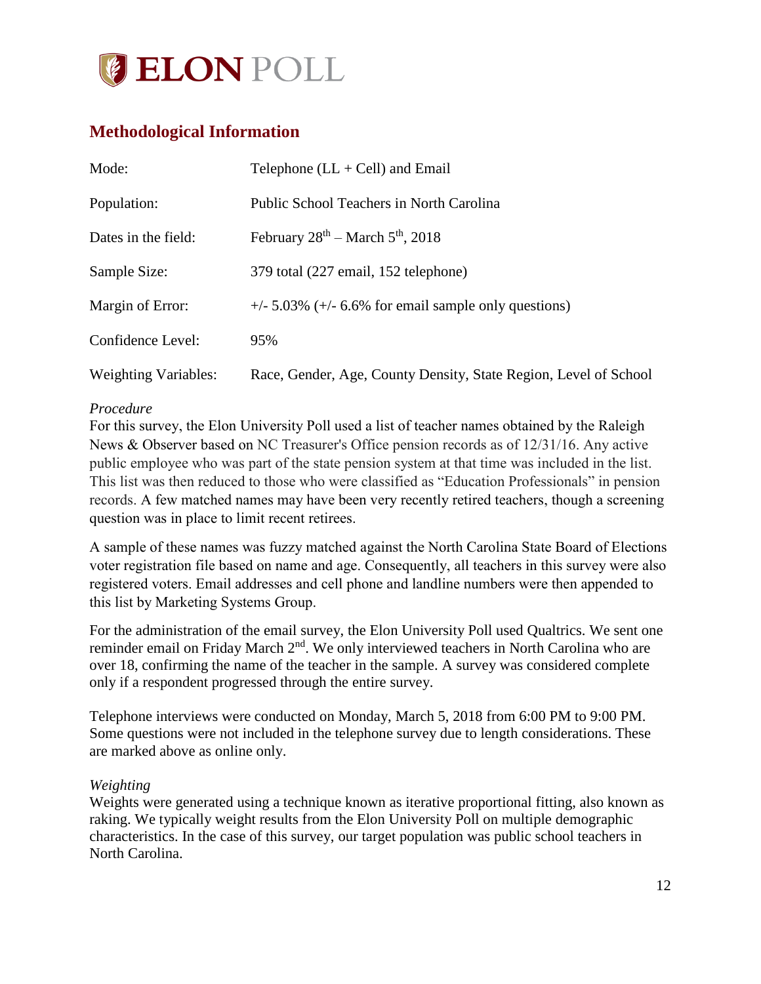

# <span id="page-12-0"></span>**Methodological Information**

| Mode:                       | Telephone $(LL + Cell)$ and Email                                |
|-----------------------------|------------------------------------------------------------------|
| Population:                 | Public School Teachers in North Carolina                         |
| Dates in the field:         | February $28^{th}$ – March $5^{th}$ , 2018                       |
| Sample Size:                | 379 total (227 email, 152 telephone)                             |
| Margin of Error:            | $+/-$ 5.03% ( $+/-$ 6.6% for email sample only questions)        |
| Confidence Level:           | 95%                                                              |
| <b>Weighting Variables:</b> | Race, Gender, Age, County Density, State Region, Level of School |

## *Procedure*

For this survey, the Elon University Poll used a list of teacher names obtained by the Raleigh News & Observer based on NC Treasurer's Office pension records as of 12/31/16. Any active public employee who was part of the state pension system at that time was included in the list. This list was then reduced to those who were classified as "Education Professionals" in pension records. A few matched names may have been very recently retired teachers, though a screening question was in place to limit recent retirees.

A sample of these names was fuzzy matched against the North Carolina State Board of Elections voter registration file based on name and age. Consequently, all teachers in this survey were also registered voters. Email addresses and cell phone and landline numbers were then appended to this list by Marketing Systems Group.

For the administration of the email survey, the Elon University Poll used Qualtrics. We sent one reminder email on Friday March 2<sup>nd</sup>. We only interviewed teachers in North Carolina who are over 18, confirming the name of the teacher in the sample. A survey was considered complete only if a respondent progressed through the entire survey.

Telephone interviews were conducted on Monday, March 5, 2018 from 6:00 PM to 9:00 PM. Some questions were not included in the telephone survey due to length considerations. These are marked above as online only.

## *Weighting*

Weights were generated using a technique known as iterative proportional fitting, also known as raking. We typically weight results from the Elon University Poll on multiple demographic characteristics. In the case of this survey, our target population was public school teachers in North Carolina.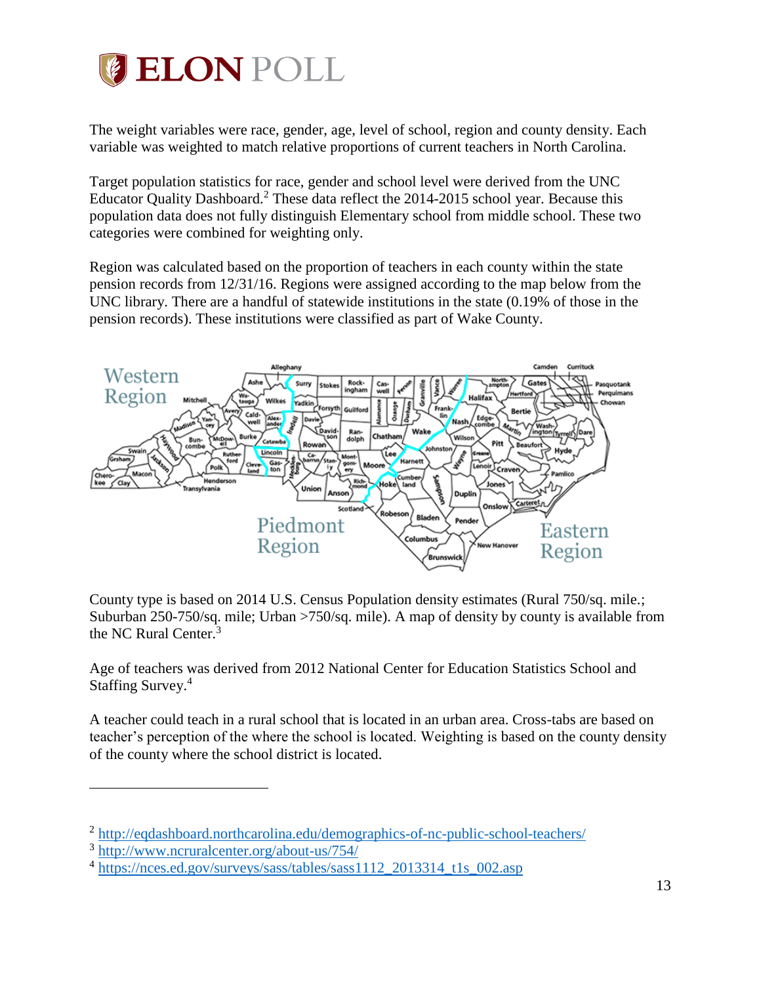

The weight variables were race, gender, age, level of school, region and county density. Each variable was weighted to match relative proportions of current teachers in North Carolina.

Target population statistics for race, gender and school level were derived from the UNC Educator Quality Dashboard.<sup>2</sup> These data reflect the  $2014$ - $2015$  school year. Because this population data does not fully distinguish Elementary school from middle school. These two categories were combined for weighting only.

Region was calculated based on the proportion of teachers in each county within the state pension records from 12/31/16. Regions were assigned according to the map below from the UNC library. There are a handful of statewide institutions in the state (0.19% of those in the pension records). These institutions were classified as part of Wake County.



County type is based on 2014 U.S. Census Population density estimates (Rural 750/sq. mile.; Suburban 250-750/sq. mile; Urban >750/sq. mile). A map of density by county is available from the NC Rural Center.<sup>3</sup>

Age of teachers was derived from 2012 National Center for Education Statistics School and Staffing Survey. 4

A teacher could teach in a rural school that is located in an urban area. Cross-tabs are based on teacher's perception of the where the school is located. Weighting is based on the county density of the county where the school district is located.

 $\overline{a}$ 

<sup>&</sup>lt;sup>2</sup> <http://eqdashboard.northcarolina.edu/demographics-of-nc-public-school-teachers/>

<sup>&</sup>lt;sup>3</sup> <http://www.ncruralcenter.org/about-us/754/>

<sup>&</sup>lt;sup>4</sup> [https://nces.ed.gov/surveys/sass/tables/sass1112\\_2013314\\_t1s\\_002.asp](https://nces.ed.gov/surveys/sass/tables/sass1112_2013314_t1s_002.asp)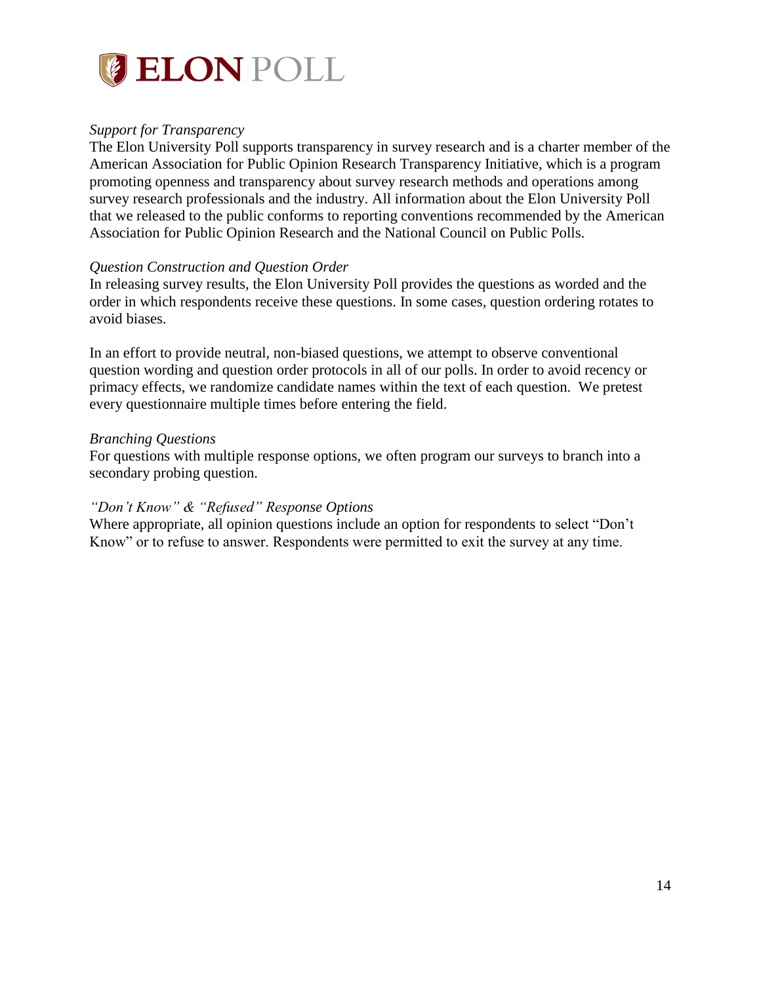

## *Support for Transparency*

The Elon University Poll supports transparency in survey research and is a charter member of the American Association for Public Opinion Research Transparency Initiative, which is a program promoting openness and transparency about survey research methods and operations among survey research professionals and the industry. All information about the Elon University Poll that we released to the public conforms to reporting conventions recommended by the American Association for Public Opinion Research and the National Council on Public Polls.

#### *Question Construction and Question Order*

In releasing survey results, the Elon University Poll provides the questions as worded and the order in which respondents receive these questions. In some cases, question ordering rotates to avoid biases.

In an effort to provide neutral, non-biased questions, we attempt to observe conventional question wording and question order protocols in all of our polls. In order to avoid recency or primacy effects, we randomize candidate names within the text of each question. We pretest every questionnaire multiple times before entering the field.

#### *Branching Questions*

For questions with multiple response options, we often program our surveys to branch into a secondary probing question.

#### *"Don't Know" & "Refused" Response Options*

Where appropriate, all opinion questions include an option for respondents to select "Don't Know" or to refuse to answer. Respondents were permitted to exit the survey at any time.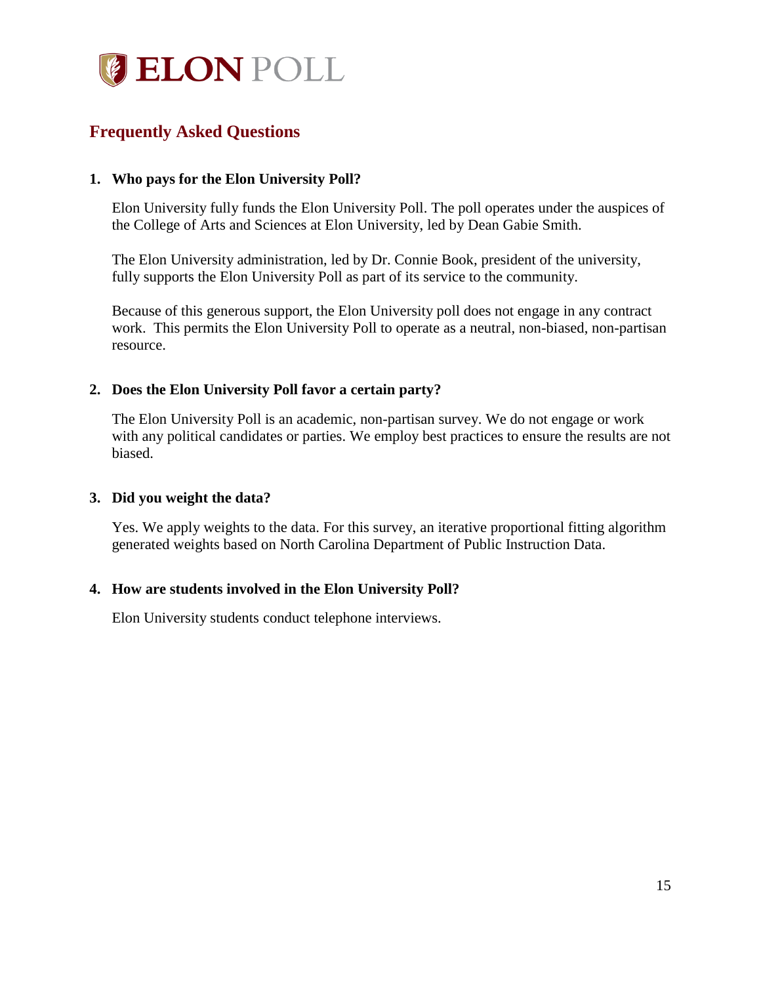

# <span id="page-15-0"></span>**Frequently Asked Questions**

## **1. Who pays for the Elon University Poll?**

Elon University fully funds the Elon University Poll. The poll operates under the auspices of the College of Arts and Sciences at Elon University, led by Dean Gabie Smith.

The Elon University administration, led by Dr. Connie Book, president of the university, fully supports the Elon University Poll as part of its service to the community.

Because of this generous support, the Elon University poll does not engage in any contract work. This permits the Elon University Poll to operate as a neutral, non-biased, non-partisan resource.

## **2. Does the Elon University Poll favor a certain party?**

The Elon University Poll is an academic, non-partisan survey. We do not engage or work with any political candidates or parties. We employ best practices to ensure the results are not biased.

## **3. Did you weight the data?**

Yes. We apply weights to the data. For this survey, an iterative proportional fitting algorithm generated weights based on North Carolina Department of Public Instruction Data.

## **4. How are students involved in the Elon University Poll?**

Elon University students conduct telephone interviews.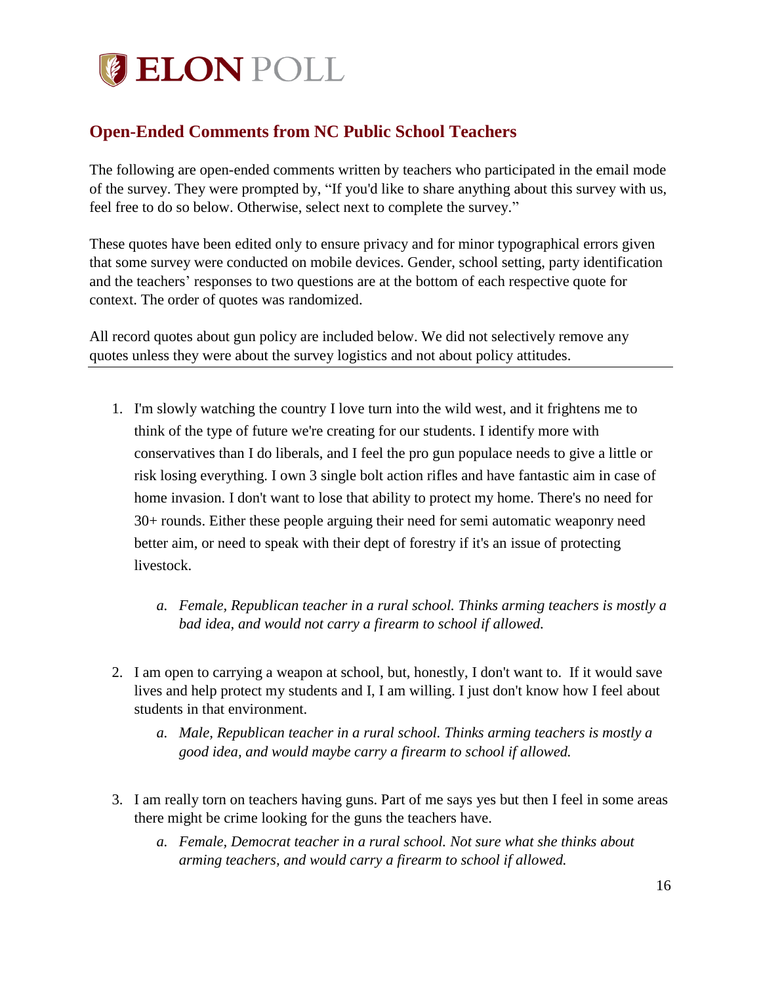

# <span id="page-16-0"></span>**Open-Ended Comments from NC Public School Teachers**

The following are open-ended comments written by teachers who participated in the email mode of the survey. They were prompted by, "If you'd like to share anything about this survey with us, feel free to do so below. Otherwise, select next to complete the survey."

These quotes have been edited only to ensure privacy and for minor typographical errors given that some survey were conducted on mobile devices. Gender, school setting, party identification and the teachers' responses to two questions are at the bottom of each respective quote for context. The order of quotes was randomized.

All record quotes about gun policy are included below. We did not selectively remove any quotes unless they were about the survey logistics and not about policy attitudes.

- 1. I'm slowly watching the country I love turn into the wild west, and it frightens me to think of the type of future we're creating for our students. I identify more with conservatives than I do liberals, and I feel the pro gun populace needs to give a little or risk losing everything. I own 3 single bolt action rifles and have fantastic aim in case of home invasion. I don't want to lose that ability to protect my home. There's no need for 30+ rounds. Either these people arguing their need for semi automatic weaponry need better aim, or need to speak with their dept of forestry if it's an issue of protecting livestock.
	- *a. Female, Republican teacher in a rural school. Thinks arming teachers is mostly a bad idea, and would not carry a firearm to school if allowed.*
- 2. I am open to carrying a weapon at school, but, honestly, I don't want to. If it would save lives and help protect my students and I, I am willing. I just don't know how I feel about students in that environment.
	- *a. Male, Republican teacher in a rural school. Thinks arming teachers is mostly a good idea, and would maybe carry a firearm to school if allowed.*
- 3. I am really torn on teachers having guns. Part of me says yes but then I feel in some areas there might be crime looking for the guns the teachers have.
	- *a. Female, Democrat teacher in a rural school. Not sure what she thinks about arming teachers, and would carry a firearm to school if allowed.*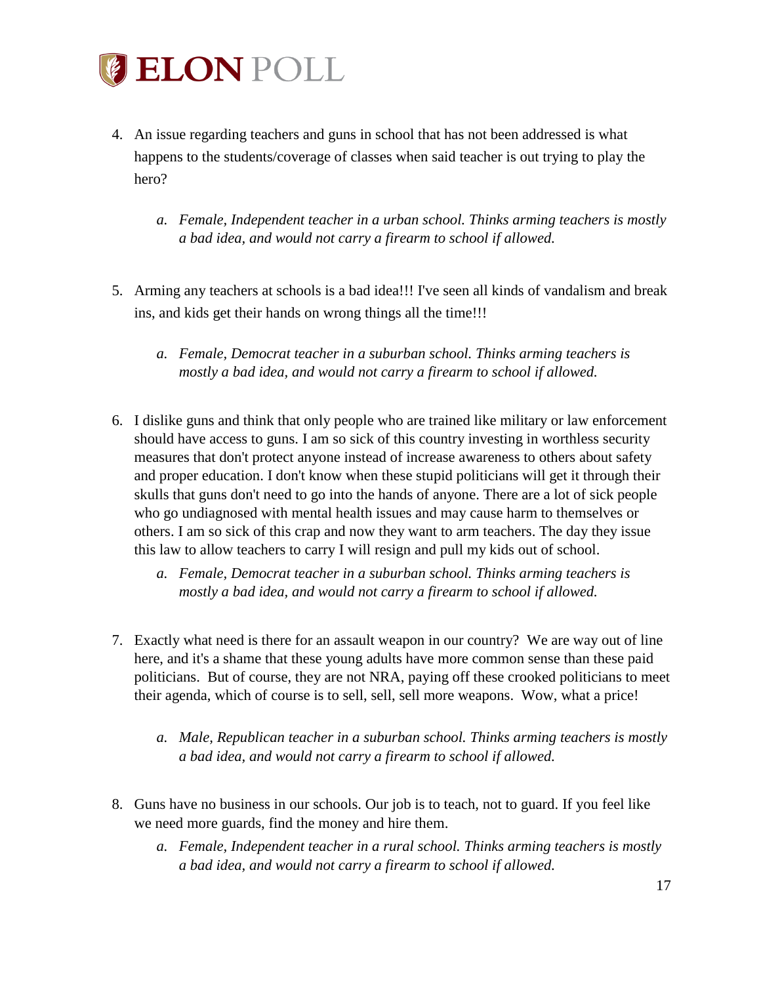

- 4. An issue regarding teachers and guns in school that has not been addressed is what happens to the students/coverage of classes when said teacher is out trying to play the hero?
	- *a. Female, Independent teacher in a urban school. Thinks arming teachers is mostly a bad idea, and would not carry a firearm to school if allowed.*
- 5. Arming any teachers at schools is a bad idea!!! I've seen all kinds of vandalism and break ins, and kids get their hands on wrong things all the time!!!
	- *a. Female, Democrat teacher in a suburban school. Thinks arming teachers is mostly a bad idea, and would not carry a firearm to school if allowed.*
- 6. I dislike guns and think that only people who are trained like military or law enforcement should have access to guns. I am so sick of this country investing in worthless security measures that don't protect anyone instead of increase awareness to others about safety and proper education. I don't know when these stupid politicians will get it through their skulls that guns don't need to go into the hands of anyone. There are a lot of sick people who go undiagnosed with mental health issues and may cause harm to themselves or others. I am so sick of this crap and now they want to arm teachers. The day they issue this law to allow teachers to carry I will resign and pull my kids out of school.
	- *a. Female, Democrat teacher in a suburban school. Thinks arming teachers is mostly a bad idea, and would not carry a firearm to school if allowed.*
- 7. Exactly what need is there for an assault weapon in our country? We are way out of line here, and it's a shame that these young adults have more common sense than these paid politicians. But of course, they are not NRA, paying off these crooked politicians to meet their agenda, which of course is to sell, sell, sell more weapons. Wow, what a price!
	- *a. Male, Republican teacher in a suburban school. Thinks arming teachers is mostly a bad idea, and would not carry a firearm to school if allowed.*
- 8. Guns have no business in our schools. Our job is to teach, not to guard. If you feel like we need more guards, find the money and hire them.
	- *a. Female, Independent teacher in a rural school. Thinks arming teachers is mostly a bad idea, and would not carry a firearm to school if allowed.*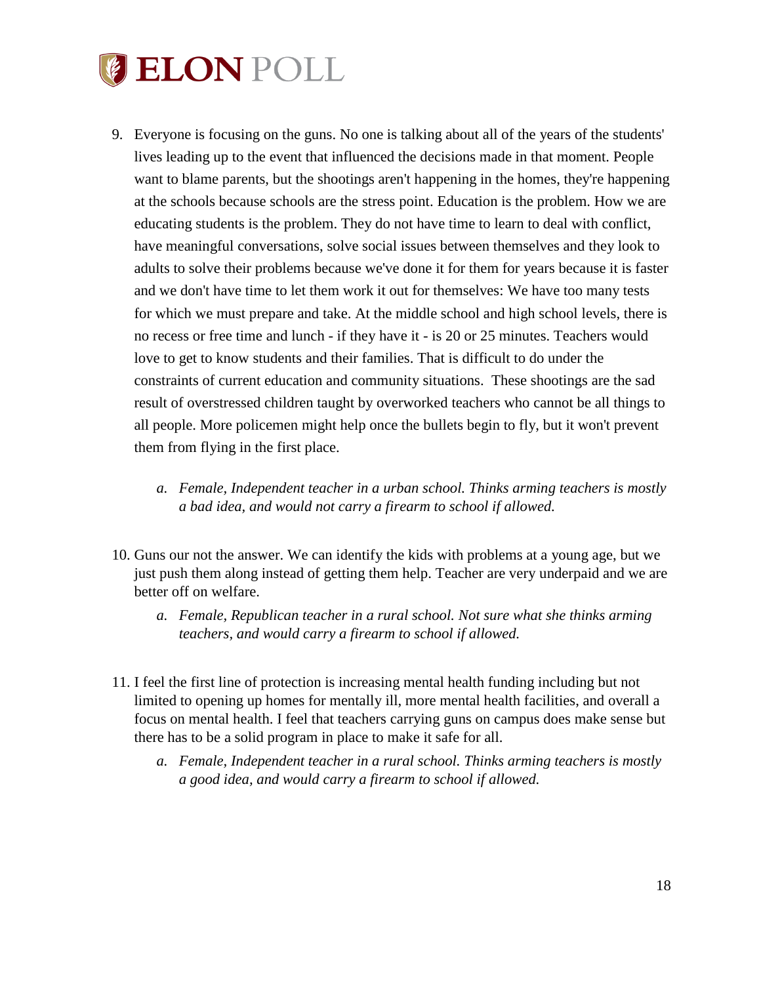

- 9. Everyone is focusing on the guns. No one is talking about all of the years of the students' lives leading up to the event that influenced the decisions made in that moment. People want to blame parents, but the shootings aren't happening in the homes, they're happening at the schools because schools are the stress point. Education is the problem. How we are educating students is the problem. They do not have time to learn to deal with conflict, have meaningful conversations, solve social issues between themselves and they look to adults to solve their problems because we've done it for them for years because it is faster and we don't have time to let them work it out for themselves: We have too many tests for which we must prepare and take. At the middle school and high school levels, there is no recess or free time and lunch - if they have it - is 20 or 25 minutes. Teachers would love to get to know students and their families. That is difficult to do under the constraints of current education and community situations. These shootings are the sad result of overstressed children taught by overworked teachers who cannot be all things to all people. More policemen might help once the bullets begin to fly, but it won't prevent them from flying in the first place.
	- *a. Female, Independent teacher in a urban school. Thinks arming teachers is mostly a bad idea, and would not carry a firearm to school if allowed.*
- 10. Guns our not the answer. We can identify the kids with problems at a young age, but we just push them along instead of getting them help. Teacher are very underpaid and we are better off on welfare.
	- *a. Female, Republican teacher in a rural school. Not sure what she thinks arming teachers, and would carry a firearm to school if allowed.*
- 11. I feel the first line of protection is increasing mental health funding including but not limited to opening up homes for mentally ill, more mental health facilities, and overall a focus on mental health. I feel that teachers carrying guns on campus does make sense but there has to be a solid program in place to make it safe for all.
	- *a. Female, Independent teacher in a rural school. Thinks arming teachers is mostly a good idea, and would carry a firearm to school if allowed.*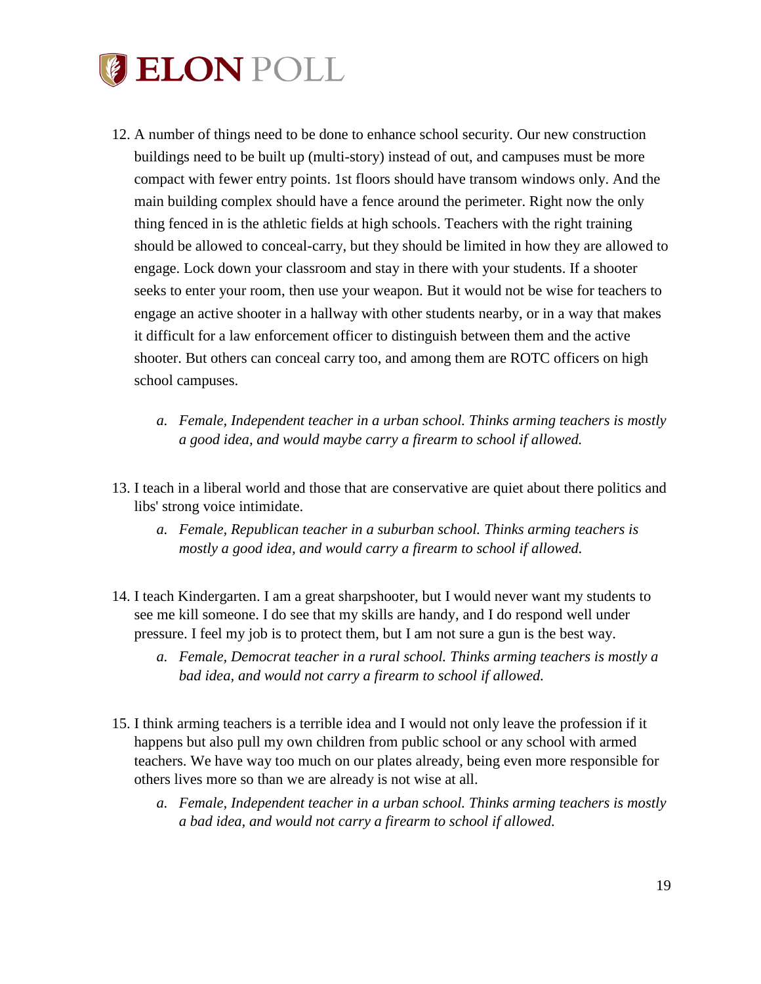

- 12. A number of things need to be done to enhance school security. Our new construction buildings need to be built up (multi-story) instead of out, and campuses must be more compact with fewer entry points. 1st floors should have transom windows only. And the main building complex should have a fence around the perimeter. Right now the only thing fenced in is the athletic fields at high schools. Teachers with the right training should be allowed to conceal-carry, but they should be limited in how they are allowed to engage. Lock down your classroom and stay in there with your students. If a shooter seeks to enter your room, then use your weapon. But it would not be wise for teachers to engage an active shooter in a hallway with other students nearby, or in a way that makes it difficult for a law enforcement officer to distinguish between them and the active shooter. But others can conceal carry too, and among them are ROTC officers on high school campuses.
	- *a. Female, Independent teacher in a urban school. Thinks arming teachers is mostly a good idea, and would maybe carry a firearm to school if allowed.*
- 13. I teach in a liberal world and those that are conservative are quiet about there politics and libs' strong voice intimidate.
	- *a. Female, Republican teacher in a suburban school. Thinks arming teachers is mostly a good idea, and would carry a firearm to school if allowed.*
- 14. I teach Kindergarten. I am a great sharpshooter, but I would never want my students to see me kill someone. I do see that my skills are handy, and I do respond well under pressure. I feel my job is to protect them, but I am not sure a gun is the best way.
	- *a. Female, Democrat teacher in a rural school. Thinks arming teachers is mostly a bad idea, and would not carry a firearm to school if allowed.*
- 15. I think arming teachers is a terrible idea and I would not only leave the profession if it happens but also pull my own children from public school or any school with armed teachers. We have way too much on our plates already, being even more responsible for others lives more so than we are already is not wise at all.
	- *a. Female, Independent teacher in a urban school. Thinks arming teachers is mostly a bad idea, and would not carry a firearm to school if allowed.*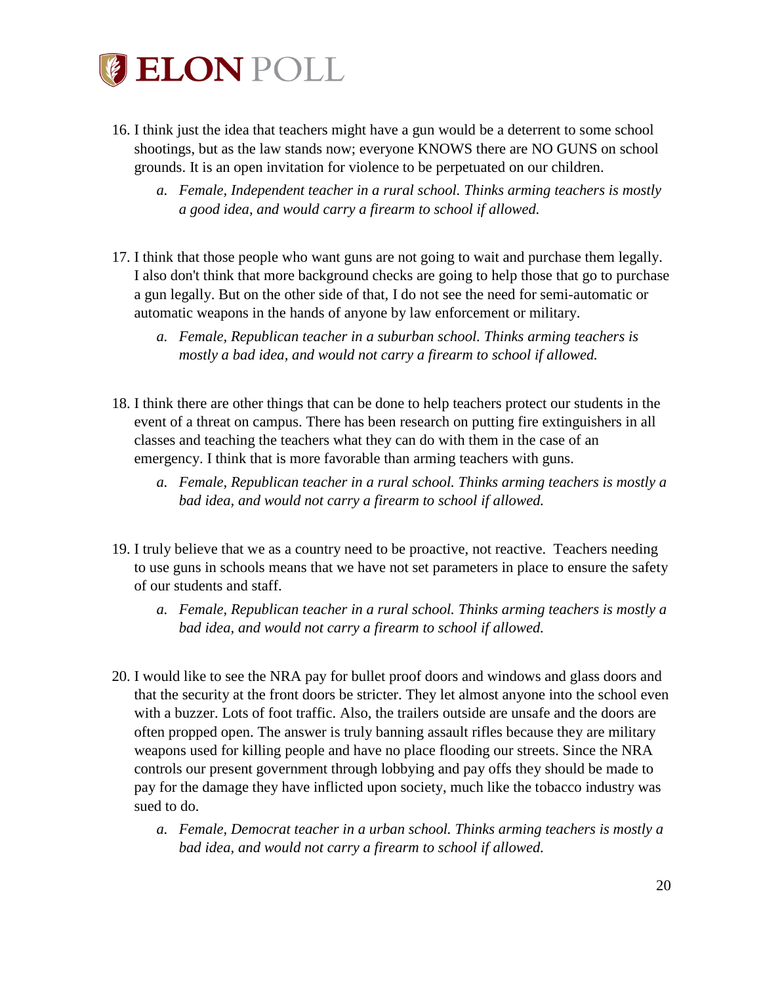

- 16. I think just the idea that teachers might have a gun would be a deterrent to some school shootings, but as the law stands now; everyone KNOWS there are NO GUNS on school grounds. It is an open invitation for violence to be perpetuated on our children.
	- *a. Female, Independent teacher in a rural school. Thinks arming teachers is mostly a good idea, and would carry a firearm to school if allowed.*
- 17. I think that those people who want guns are not going to wait and purchase them legally. I also don't think that more background checks are going to help those that go to purchase a gun legally. But on the other side of that, I do not see the need for semi-automatic or automatic weapons in the hands of anyone by law enforcement or military.
	- *a. Female, Republican teacher in a suburban school. Thinks arming teachers is mostly a bad idea, and would not carry a firearm to school if allowed.*
- 18. I think there are other things that can be done to help teachers protect our students in the event of a threat on campus. There has been research on putting fire extinguishers in all classes and teaching the teachers what they can do with them in the case of an emergency. I think that is more favorable than arming teachers with guns.
	- *a. Female, Republican teacher in a rural school. Thinks arming teachers is mostly a bad idea, and would not carry a firearm to school if allowed.*
- 19. I truly believe that we as a country need to be proactive, not reactive. Teachers needing to use guns in schools means that we have not set parameters in place to ensure the safety of our students and staff.
	- *a. Female, Republican teacher in a rural school. Thinks arming teachers is mostly a bad idea, and would not carry a firearm to school if allowed.*
- 20. I would like to see the NRA pay for bullet proof doors and windows and glass doors and that the security at the front doors be stricter. They let almost anyone into the school even with a buzzer. Lots of foot traffic. Also, the trailers outside are unsafe and the doors are often propped open. The answer is truly banning assault rifles because they are military weapons used for killing people and have no place flooding our streets. Since the NRA controls our present government through lobbying and pay offs they should be made to pay for the damage they have inflicted upon society, much like the tobacco industry was sued to do.
	- *a. Female, Democrat teacher in a urban school. Thinks arming teachers is mostly a bad idea, and would not carry a firearm to school if allowed.*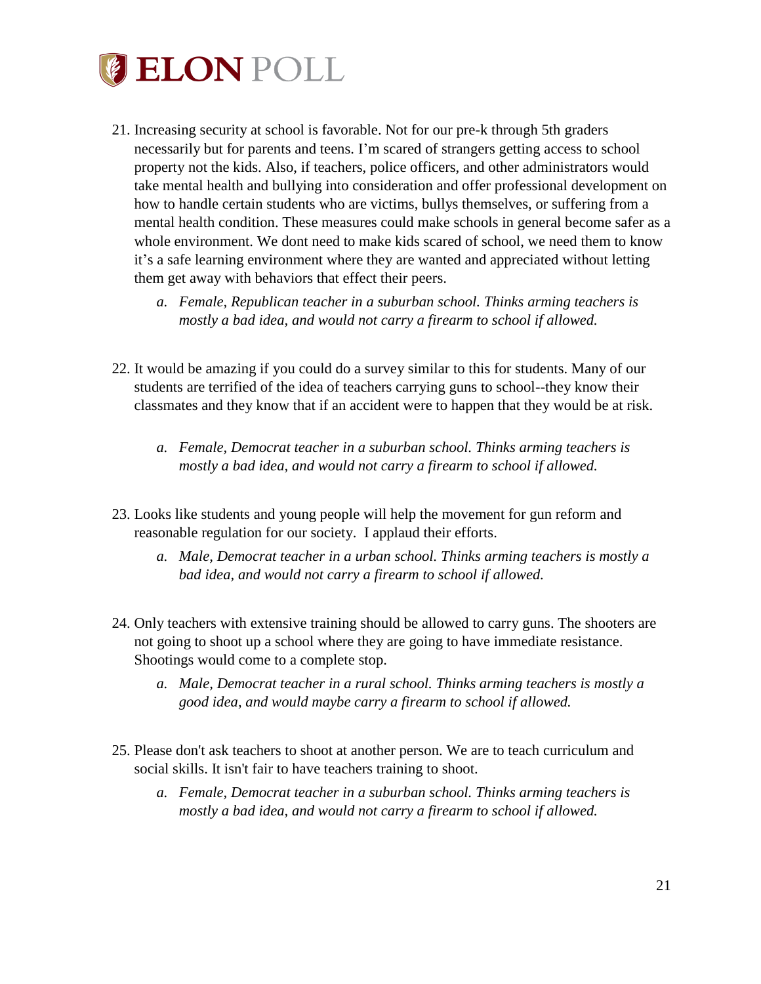

- 21. Increasing security at school is favorable. Not for our pre-k through 5th graders necessarily but for parents and teens. I'm scared of strangers getting access to school property not the kids. Also, if teachers, police officers, and other administrators would take mental health and bullying into consideration and offer professional development on how to handle certain students who are victims, bullys themselves, or suffering from a mental health condition. These measures could make schools in general become safer as a whole environment. We dont need to make kids scared of school, we need them to know it's a safe learning environment where they are wanted and appreciated without letting them get away with behaviors that effect their peers.
	- *a. Female, Republican teacher in a suburban school. Thinks arming teachers is mostly a bad idea, and would not carry a firearm to school if allowed.*
- 22. It would be amazing if you could do a survey similar to this for students. Many of our students are terrified of the idea of teachers carrying guns to school--they know their classmates and they know that if an accident were to happen that they would be at risk.
	- *a. Female, Democrat teacher in a suburban school. Thinks arming teachers is mostly a bad idea, and would not carry a firearm to school if allowed.*
- 23. Looks like students and young people will help the movement for gun reform and reasonable regulation for our society. I applaud their efforts.
	- *a. Male, Democrat teacher in a urban school. Thinks arming teachers is mostly a bad idea, and would not carry a firearm to school if allowed.*
- 24. Only teachers with extensive training should be allowed to carry guns. The shooters are not going to shoot up a school where they are going to have immediate resistance. Shootings would come to a complete stop.
	- *a. Male, Democrat teacher in a rural school. Thinks arming teachers is mostly a good idea, and would maybe carry a firearm to school if allowed.*
- 25. Please don't ask teachers to shoot at another person. We are to teach curriculum and social skills. It isn't fair to have teachers training to shoot.
	- *a. Female, Democrat teacher in a suburban school. Thinks arming teachers is mostly a bad idea, and would not carry a firearm to school if allowed.*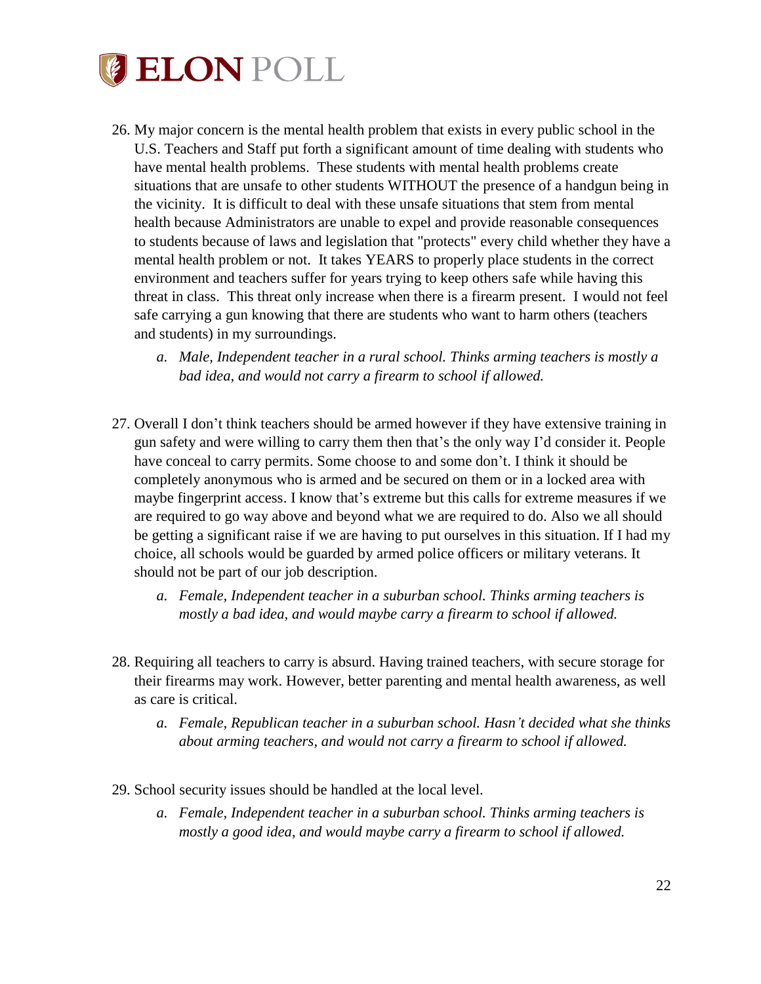

- 26. My major concern is the mental health problem that exists in every public school in the U.S. Teachers and Staff put forth a significant amount of time dealing with students who have mental health problems. These students with mental health problems create situations that are unsafe to other students WITHOUT the presence of a handgun being in the vicinity. It is difficult to deal with these unsafe situations that stem from mental health because Administrators are unable to expel and provide reasonable consequences to students because of laws and legislation that "protects" every child whether they have a mental health problem or not. It takes YEARS to properly place students in the correct environment and teachers suffer for years trying to keep others safe while having this threat in class. This threat only increase when there is a firearm present. I would not feel safe carrying a gun knowing that there are students who want to harm others (teachers and students) in my surroundings.
	- *a. Male, Independent teacher in a rural school. Thinks arming teachers is mostly a bad idea, and would not carry a firearm to school if allowed.*
- 27. Overall I don't think teachers should be armed however if they have extensive training in gun safety and were willing to carry them then that's the only way I'd consider it. People have conceal to carry permits. Some choose to and some don't. I think it should be completely anonymous who is armed and be secured on them or in a locked area with maybe fingerprint access. I know that's extreme but this calls for extreme measures if we are required to go way above and beyond what we are required to do. Also we all should be getting a significant raise if we are having to put ourselves in this situation. If I had my choice, all schools would be guarded by armed police officers or military veterans. It should not be part of our job description.
	- *a. Female, Independent teacher in a suburban school. Thinks arming teachers is mostly a bad idea, and would maybe carry a firearm to school if allowed.*
- 28. Requiring all teachers to carry is absurd. Having trained teachers, with secure storage for their firearms may work. However, better parenting and mental health awareness, as well as care is critical.
	- *a. Female, Republican teacher in a suburban school. Hasn't decided what she thinks about arming teachers, and would not carry a firearm to school if allowed.*
- 29. School security issues should be handled at the local level.
	- *a. Female, Independent teacher in a suburban school. Thinks arming teachers is mostly a good idea, and would maybe carry a firearm to school if allowed.*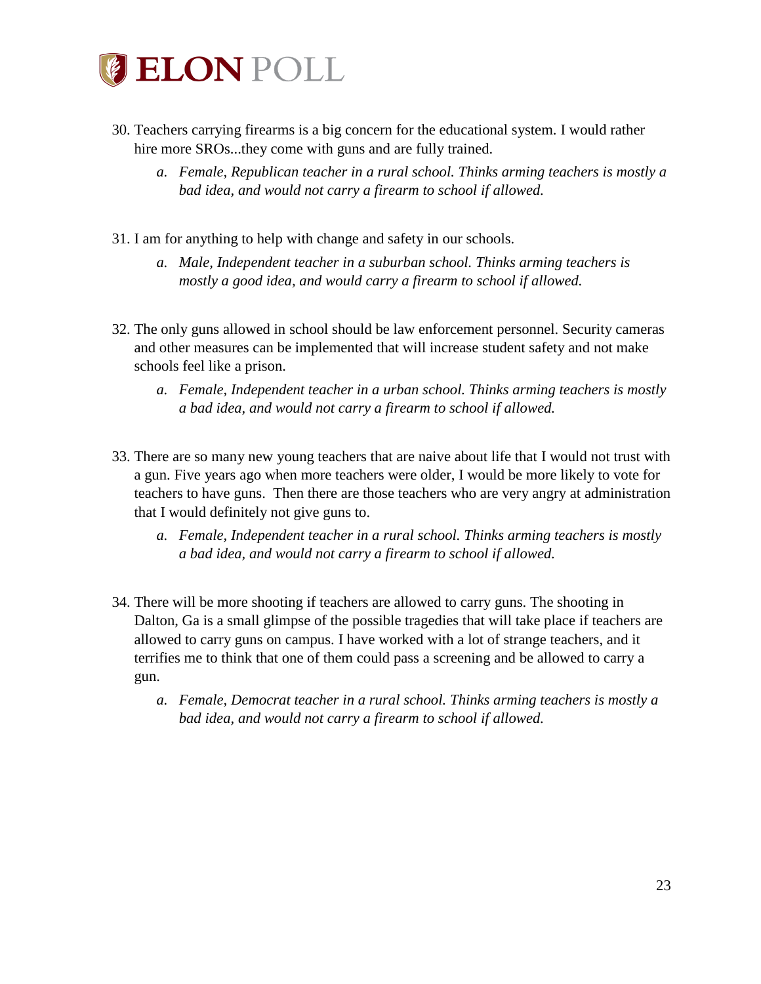

- 30. Teachers carrying firearms is a big concern for the educational system. I would rather hire more SROs...they come with guns and are fully trained.
	- *a. Female, Republican teacher in a rural school. Thinks arming teachers is mostly a bad idea, and would not carry a firearm to school if allowed.*
- 31. I am for anything to help with change and safety in our schools.
	- *a. Male, Independent teacher in a suburban school. Thinks arming teachers is mostly a good idea, and would carry a firearm to school if allowed.*
- 32. The only guns allowed in school should be law enforcement personnel. Security cameras and other measures can be implemented that will increase student safety and not make schools feel like a prison.
	- *a. Female, Independent teacher in a urban school. Thinks arming teachers is mostly a bad idea, and would not carry a firearm to school if allowed.*
- 33. There are so many new young teachers that are naive about life that I would not trust with a gun. Five years ago when more teachers were older, I would be more likely to vote for teachers to have guns. Then there are those teachers who are very angry at administration that I would definitely not give guns to.
	- *a. Female, Independent teacher in a rural school. Thinks arming teachers is mostly a bad idea, and would not carry a firearm to school if allowed.*
- 34. There will be more shooting if teachers are allowed to carry guns. The shooting in Dalton, Ga is a small glimpse of the possible tragedies that will take place if teachers are allowed to carry guns on campus. I have worked with a lot of strange teachers, and it terrifies me to think that one of them could pass a screening and be allowed to carry a gun.
	- *a. Female, Democrat teacher in a rural school. Thinks arming teachers is mostly a bad idea, and would not carry a firearm to school if allowed.*